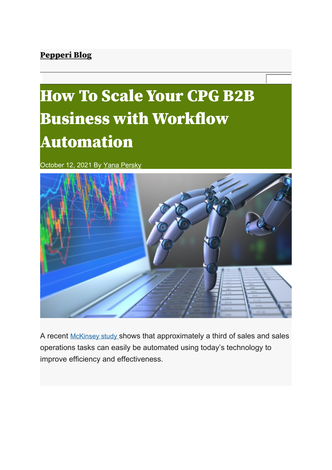## Pepperi Blog

# How To Scale Your CPG B2B Business with Workflow Automation

October 12, 2021 By Yana Persky



A recent McKinsey study shows that approximately a third of sales and sales operations tasks can easily be automated using today's technology to improve efficiency and effectiveness.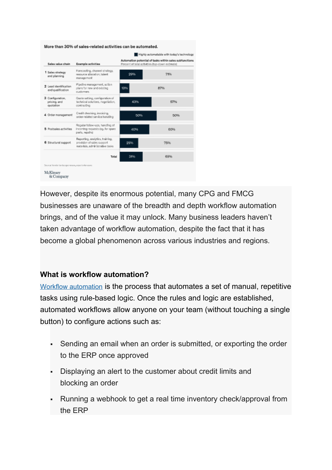|                                                      |                                                                                                   |                                                                                                            | Highly automatable with today's technology |  |  |  |  |  |
|------------------------------------------------------|---------------------------------------------------------------------------------------------------|------------------------------------------------------------------------------------------------------------|--------------------------------------------|--|--|--|--|--|
| Sales value chain                                    | Example activities                                                                                | Automation potential of tasks within sales subfunctions<br>Percent of total activities (top-down estimate) |                                            |  |  |  |  |  |
| 1 Sales strategy<br>and planning                     | Forecasting, channel strategy,<br>resource allocation, talent<br>management                       | 2996                                                                                                       | 71%                                        |  |  |  |  |  |
| 2 Lead identification<br>and qualification           | Pipeline management, action<br>plans for new and existing<br>outforters.                          | 13%                                                                                                        | 87%                                        |  |  |  |  |  |
| 3 Configuration.<br>pricing, and<br>quotation        | Quots setting, configuration of<br>technical solutions, negotiation,<br>contracting               | 43%                                                                                                        | 57%                                        |  |  |  |  |  |
| 4 Order management                                   | Credit checking, inspicing,<br>order-related service handling                                     | 50%                                                                                                        | 50%                                        |  |  |  |  |  |
| 5 Postsales activities                               | Regular follow-ups, handling of<br>Incoming requests (eg, for spare)<br>parts, repairs)           | 40%                                                                                                        | 60%                                        |  |  |  |  |  |
| 6 Structural support                                 | Reporting, analytics, training,<br>provision of sales support<br>natoriale, administrativo tasks. | 25%                                                                                                        | 75%                                        |  |  |  |  |  |
|                                                      | Total                                                                                             | 31%                                                                                                        | 69%                                        |  |  |  |  |  |
| Source: Verelor landscape resears, expert infereeves |                                                                                                   |                                                                                                            |                                            |  |  |  |  |  |

However, despite its enormous potential, many CPG and FMCG businesses are unaware of the breadth and depth workflow automation brings, and of the value it may unlock. Many business leaders haven't taken advantage of workflow automation, despite the fact that it has become a global phenomenon across various industries and regions.

#### **What is workflow automation?**

Workflow automation is the process that automates a set of manual, repetitive tasks using rule-based logic. Once the rules and logic are established, automated workflows allow anyone on your team (without touching a single button) to configure actions such as:

- Sending an email when an order is submitted, or exporting the order to the ERP once approved
- Displaying an alert to the customer about credit limits and blocking an order
- Running a webhook to get a real time inventory check/approval from the ERP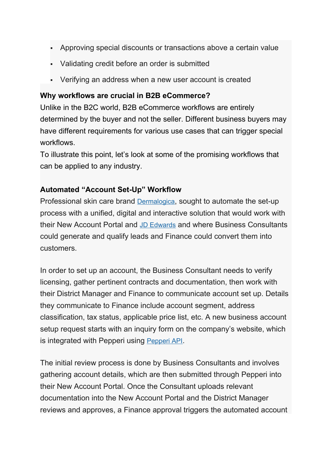- Approving special discounts or transactions above a certain value
- Validating credit before an order is submitted
- Verifying an address when a new user account is created

#### **Why workflows are crucial in B2B eCommerce?**

Unlike in the B2C world, B2B eCommerce workflows are entirely determined by the buyer and not the seller. Different business buyers may have different requirements for various use cases that can trigger special workflows.

To illustrate this point, let's look at some of the promising workflows that can be applied to any industry.

#### **Automated "Account Set-Up" Workflow**

Professional skin care brand Dermalogica, sought to automate the set-up process with a unified, digital and interactive solution that would work with their New Account Portal and JD Edwards and where Business Consultants could generate and qualify leads and Finance could convert them into customers.

In order to set up an account, the Business Consultant needs to verify licensing, gather pertinent contracts and documentation, then work with their District Manager and Finance to communicate account set up. Details they communicate to Finance include account segment, address classification, tax status, applicable price list, etc. A new business account setup request starts with an inquiry form on the company's website, which is integrated with Pepperi using Pepperi API.

The initial review process is done by Business Consultants and involves gathering account details, which are then submitted through Pepperi into their New Account Portal. Once the Consultant uploads relevant documentation into the New Account Portal and the District Manager reviews and approves, a Finance approval triggers the automated account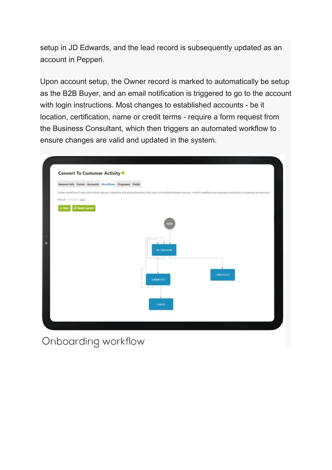setup in JD Edwards, and the lead record is subsequently updated as an account in Pepperi.

Upon account setup, the Owner record is marked to automatically be setup as the B2B Buyer, and an email notification is triggered to go to the account with login instructions. Most changes to established accounts - be it location, certification, name or credit terms - require a form request from the Business Consultant, which then triggers an automated workflow to ensure changes are valid and updated in the system.

| <b>Convert To Customer Activity ®</b><br>General Info Forms Accounts Workflows Programs Fields |                        |  |  |                                                                                                                                                                                                           |
|------------------------------------------------------------------------------------------------|------------------------|--|--|-----------------------------------------------------------------------------------------------------------------------------------------------------------------------------------------------------------|
|                                                                                                |                        |  |  | Create a workflow of steps with Activity statuses, transitions and actions/branches. Each step is a transition between statuses, in which conditions are evaluated, and actions or branches are executed. |
| View as: Flowchart Table                                                                       |                        |  |  |                                                                                                                                                                                                           |
| $+$ Step                                                                                       | <b>CF Reset Layout</b> |  |  |                                                                                                                                                                                                           |
|                                                                                                |                        |  |  |                                                                                                                                                                                                           |
|                                                                                                |                        |  |  | <b>NEW</b>                                                                                                                                                                                                |
|                                                                                                |                        |  |  |                                                                                                                                                                                                           |
|                                                                                                |                        |  |  |                                                                                                                                                                                                           |
|                                                                                                |                        |  |  | IN CREATION.                                                                                                                                                                                              |
|                                                                                                |                        |  |  | n an                                                                                                                                                                                                      |
|                                                                                                |                        |  |  |                                                                                                                                                                                                           |
|                                                                                                |                        |  |  | <b>CANCELLED</b>                                                                                                                                                                                          |
|                                                                                                |                        |  |  | SUBMITTED.                                                                                                                                                                                                |
|                                                                                                |                        |  |  |                                                                                                                                                                                                           |
|                                                                                                |                        |  |  |                                                                                                                                                                                                           |
|                                                                                                |                        |  |  | <b>TALLO</b>                                                                                                                                                                                              |
|                                                                                                |                        |  |  |                                                                                                                                                                                                           |
|                                                                                                |                        |  |  |                                                                                                                                                                                                           |

Onboarding workflow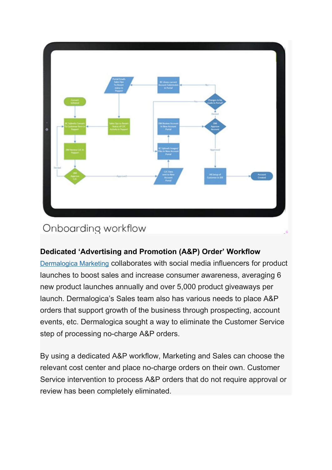

## Onboarding workflow

## **Dedicated 'Advertising and Promotion (A&P) Order' Workflow**

Dermalogica Marketing collaborates with social media influencers for product launches to boost sales and increase consumer awareness, averaging 6 new product launches annually and over 5,000 product giveaways per launch. Dermalogica's Sales team also has various needs to place A&P orders that support growth of the business through prospecting, account events, etc. Dermalogica sought a way to eliminate the Customer Service step of processing no-charge A&P orders.

By using a dedicated A&P workflow, Marketing and Sales can choose the relevant cost center and place no-charge orders on their own. Customer Service intervention to process A&P orders that do not require approval or review has been completely eliminated.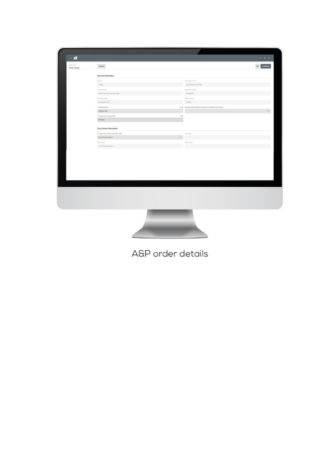| $\bullet$ d               |                                  |     |                                                      |                                                          |
|---------------------------|----------------------------------|-----|------------------------------------------------------|----------------------------------------------------------|
| 437-2491<br>Order details | Cancel                           |     |                                                      | $\begin{array}{c} A \setminus 0 \setminus 0 \end{array}$ |
|                           | <b>General Information</b>       |     |                                                      |                                                          |
|                           | Drive #                          |     | Sing San & Year                                      |                                                          |
|                           | $+000$                           |     | <b>DASASSIT GISHW</b>                                |                                                          |
|                           | Account Name                     |     | Project & Account &                                  |                                                          |
|                           | Sales Text Acct, Do Yet Driv.    |     | HAGINI                                               |                                                          |
|                           | In my Praced By                  |     | <b>JOE NAMARY</b>                                    |                                                          |
|                           | <b>Beveran Text</b>              |     | lows:                                                |                                                          |
|                           | * Reported by                    |     | 1206 Missions Brankstown exhibition almost primaters |                                                          |
|                           | Papel for                        |     |                                                      | ×.                                                       |
|                           | * Gustyne Punkere Gray           | 348 |                                                      |                                                          |
|                           | PO Text                          |     |                                                      |                                                          |
|                           |                                  |     |                                                      |                                                          |
|                           | Cast Center Information          |     |                                                      |                                                          |
|                           | * bood Cod Dorse and Office Date |     | <b>Income</b>                                        |                                                          |
|                           | <b>Cost Derby Name 1</b>         | ٠   |                                                      |                                                          |
|                           | <b>Countainer</b>                |     | triantistic                                          |                                                          |
|                           | <b>Cost Carnet Name 1:</b>       |     | m                                                    |                                                          |
|                           |                                  |     |                                                      |                                                          |
|                           |                                  |     |                                                      |                                                          |
|                           |                                  |     |                                                      |                                                          |
|                           |                                  |     |                                                      |                                                          |
|                           |                                  |     |                                                      |                                                          |
|                           |                                  |     |                                                      |                                                          |
|                           |                                  |     |                                                      |                                                          |
|                           |                                  |     |                                                      |                                                          |
|                           |                                  |     |                                                      |                                                          |
|                           |                                  |     |                                                      |                                                          |
|                           |                                  |     |                                                      |                                                          |
|                           |                                  |     |                                                      |                                                          |
|                           |                                  |     |                                                      |                                                          |
|                           |                                  |     |                                                      |                                                          |
|                           |                                  |     |                                                      |                                                          |
|                           |                                  |     |                                                      |                                                          |

A&P order details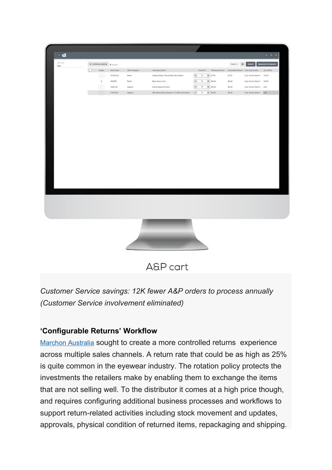| + Cortinue prisong 4 rooths |                  |                |                                               |                          |              |              |                                                  | $10\%$ $\pm$ $\frac{1}{2}$ $\pm$ $\frac{1}{2}$ and $\pm$ $\frac{1}{2}$ because to Payment |                                                        |
|-----------------------------|------------------|----------------|-----------------------------------------------|--------------------------|--------------|--------------|--------------------------------------------------|-------------------------------------------------------------------------------------------|--------------------------------------------------------|
| maps                        | <b>Barn Code</b> | Main Category  | <b>Bun Description</b>                        |                          |              |              |                                                  |                                                                                           |                                                        |
| 23                          | 11048-03         | Retail         | Holdey Editor: Travel Daily Memfoliant        | $\sim$                   | $\mathbf{1}$ |              | 4735                                             | Cost Center Nema 1 12245                                                                  |                                                        |
| t.                          | 200878           | Retail         | Body Ottes to Do                              | $\overline{\phantom{a}}$ | $\mathbf{1}$ |              | \$1.23                                           | Cost Center Name 1 12240                                                                  |                                                        |
| 3                           | 4325-04          | Support:       | <b>Orand Opening Proter</b>                   | $\overline{\phantom{a}}$ | $\mathbf{I}$ |              | \$0.00                                           | Cost Center Name 1 234                                                                    |                                                        |
| œ                           | <b>CIOMADU</b>   | <b>Support</b> | Skin Resurfacing Chiamier 1.8 CAN Uncarteries | $\sim$                   |              |              | \$5.00                                           | Cost Center Name 1 234                                                                    |                                                        |
|                             |                  |                |                                               |                          |              |              |                                                  |                                                                                           |                                                        |
|                             |                  |                |                                               |                          |              |              |                                                  |                                                                                           |                                                        |
|                             |                  |                |                                               |                          |              |              |                                                  |                                                                                           |                                                        |
|                             |                  |                |                                               |                          |              |              |                                                  |                                                                                           |                                                        |
|                             |                  |                |                                               |                          |              |              |                                                  |                                                                                           |                                                        |
|                             |                  |                |                                               |                          |              |              |                                                  |                                                                                           |                                                        |
|                             |                  |                |                                               |                          |              |              |                                                  |                                                                                           |                                                        |
|                             |                  |                |                                               |                          |              |              |                                                  |                                                                                           |                                                        |
|                             |                  |                |                                               |                          |              |              |                                                  |                                                                                           |                                                        |
|                             |                  |                |                                               |                          |              |              |                                                  |                                                                                           |                                                        |
|                             |                  |                |                                               |                          |              |              |                                                  |                                                                                           |                                                        |
|                             |                  |                |                                               |                          |              |              |                                                  |                                                                                           |                                                        |
|                             |                  |                |                                               |                          |              |              |                                                  |                                                                                           |                                                        |
|                             |                  |                |                                               |                          |              |              |                                                  |                                                                                           |                                                        |
|                             |                  |                |                                               |                          |              |              |                                                  |                                                                                           |                                                        |
|                             |                  |                |                                               |                          |              |              |                                                  |                                                                                           |                                                        |
|                             |                  |                |                                               |                          |              |              |                                                  |                                                                                           |                                                        |
|                             |                  |                |                                               |                          |              |              |                                                  |                                                                                           |                                                        |
|                             |                  |                |                                               |                          |              |              |                                                  |                                                                                           |                                                        |
|                             |                  |                |                                               |                          |              |              |                                                  |                                                                                           |                                                        |
|                             |                  |                |                                               |                          |              |              |                                                  |                                                                                           |                                                        |
|                             |                  |                |                                               |                          |              |              |                                                  |                                                                                           |                                                        |
|                             |                  |                |                                               |                          |              |              |                                                  |                                                                                           |                                                        |
|                             |                  |                |                                               |                          |              |              |                                                  |                                                                                           |                                                        |
|                             |                  |                |                                               |                          |              |              |                                                  |                                                                                           |                                                        |
|                             |                  |                |                                               |                          |              |              |                                                  |                                                                                           |                                                        |
|                             |                  |                |                                               |                          |              | $\mathbf{1}$ | $ 4 $ (73)<br>$ 4 $ 50.23<br>3 50.00<br>$+ 1636$ |                                                                                           | THE OTT WHENLEST RECORD DISTURBANCE DISCOVERY DILOTERS |

A&P cart

*Customer Service savings: 12K fewer A&P orders to process annually (Customer Service involvement eliminated)*

#### **'Configurable Returns' Workflow**

Marchon Australia sought to create a more controlled returns experience across multiple sales channels. A return rate that could be as high as 25% is quite common in the eyewear industry. The rotation policy protects the investments the retailers make by enabling them to exchange the items that are not selling well. To the distributor it comes at a high price though, and requires configuring additional business processes and workflows to support return-related activities including stock movement and updates, approvals, physical condition of returned items, repackaging and shipping.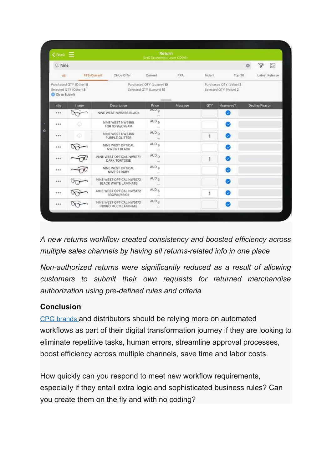| $\zeta$ Back $\equiv$ |                                                   |                                    |                                                       | Return<br>EyeQ Optometrists Lucas (30008)         |            |              |           |                |                |        |
|-----------------------|---------------------------------------------------|------------------------------------|-------------------------------------------------------|---------------------------------------------------|------------|--------------|-----------|----------------|----------------|--------|
| Q Nine                |                                                   |                                    |                                                       |                                                   |            |              |           | $\mathfrak{S}$ | V              | $\sim$ |
| All                   |                                                   | FTS-Current                        | Chloe Offer                                           | Current                                           | <b>RPA</b> | Indent       | Top 20    | Latest Release |                |        |
| C Ok to Submit        | Purchased QTY (Other) 8<br>Selected QTY (Other) 8 |                                    | Purchased QTY (Luxury) 10<br>Selected QTY (Luxury) 10 | Purchased GTY (Value) 2<br>Selected QTY (Value) 2 |            |              |           |                |                |        |
| Info                  | Image                                             |                                    | Description                                           | Price                                             | Message    | OTY          | Approved? |                | Decline Reason |        |
|                       |                                                   |                                    | NINE WEST NW5166 BLACK                                | <b>MOD</b> <sup>9</sup><br>S.                     |            |              | Ø         |                |                |        |
| ***                   |                                                   |                                    | NINE WEST NW5166<br>TORTOISE/CREAM                    | AUD <sub>9</sub><br>$\mathcal{L}_{\text{max}}$    |            |              | Ø         |                |                |        |
| 484                   | ₩                                                 | NINE WEST NW5166<br>PURPLE GLITTER |                                                       | AUD <sub>9</sub><br>yre.                          |            |              | Ø         |                |                |        |
| ***                   |                                                   |                                    | NINE WEST OPTICAL<br>NW5171 BLACK                     | AUD <sub>9</sub><br>1111                          |            |              | Ø         |                |                |        |
| ***                   |                                                   |                                    | NINE WEST OPTICAL NW5171<br><b>DARK TORTOISE</b>      | AUD <sub>a</sub><br>See.                          |            | 1            | Ø         |                |                |        |
| ***                   |                                                   |                                    | NINE WEST OPTICAL<br>NW5171 RUBY                      | AUD <sub>9</sub><br><b>Links</b>                  |            |              | Ø         |                |                |        |
| 408                   |                                                   |                                    | NINE WEST OPTICAL NW5172<br>BLACK WHITE LAMINATE      | AUD <sub>6</sub><br>Tim.                          |            |              |           |                |                |        |
| ***                   |                                                   |                                    | NINE WEST OPTICAL NW5172<br>BROWN/BEIGE               | AUD <sub>6</sub><br>144.                          |            | $\mathbf{1}$ | œ         |                |                |        |
| ***                   |                                                   |                                    | NINE WEST OPTICAL NW5172<br>INDIGO MULTI LAMINATE     | $AUD_6$<br>$\mathcal{L}_{\text{max}}$             |            |              |           |                |                |        |

*A new returns workflow created consistency and boosted efficiency across multiple sales channels by having all returns-related info in one place*

*Non-authorized returns were significantly reduced as a result of allowing customers to submit their own requests for returned merchandise authorization using pre-defined rules and criteria*

#### **Conclusion**

 CPG brands and distributors should be relying more on automated workflows as part of their digital transformation journey if they are looking to eliminate repetitive tasks, human errors, streamline approval processes, boost efficiency across multiple channels, save time and labor costs.

How quickly can you respond to meet new workflow requirements, especially if they entail extra logic and sophisticated business rules? Can you create them on the fly and with no coding?